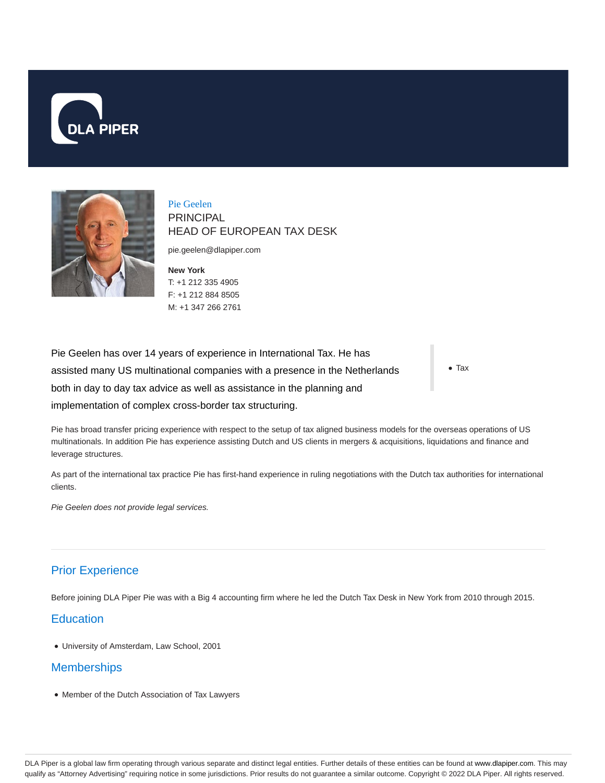



Pie Geelen PRINCIPAL HEAD OF EUROPEAN TAX DESK

pie.geelen@dlapiper.com

**New York** T: +1 212 335 4905 F: +1 212 884 8505 M: +1 347 266 2761

Pie Geelen has over 14 years of experience in International Tax. He has assisted many US multinational companies with a presence in the Netherlands both in day to day tax advice as well as assistance in the planning and implementation of complex cross-border tax structuring.

Tax

Pie has broad transfer pricing experience with respect to the setup of tax aligned business models for the overseas operations of US multinationals. In addition Pie has experience assisting Dutch and US clients in mergers & acquisitions, liquidations and finance and leverage structures.

As part of the international tax practice Pie has first-hand experience in ruling negotiations with the Dutch tax authorities for international clients.

Pie Geelen does not provide legal services.

# Prior Experience

Before joining DLA Piper Pie was with a Big 4 accounting firm where he led the Dutch Tax Desk in New York from 2010 through 2015.

## **Education**

University of Amsterdam, Law School, 2001

## **Memberships**

Member of the Dutch Association of Tax Lawyers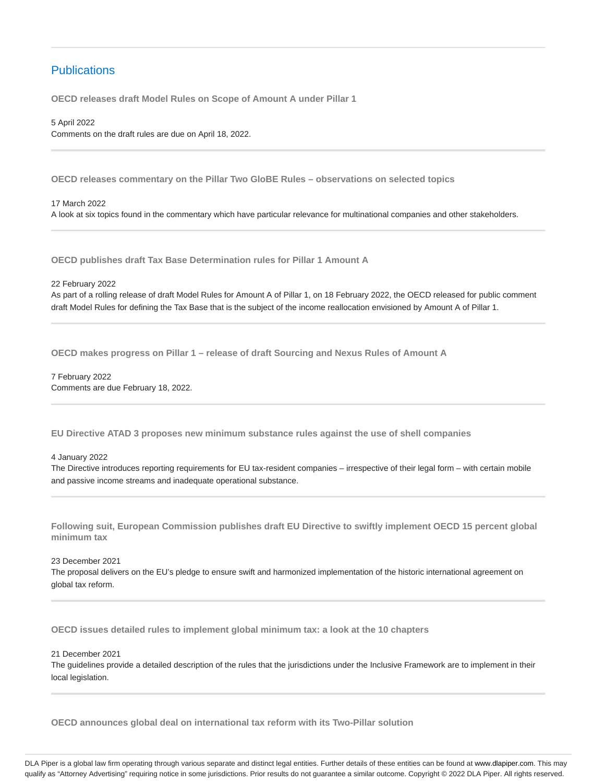# **Publications**

**OECD releases draft Model Rules on Scope of Amount A under Pillar 1**

5 April 2022 Comments on the draft rules are due on April 18, 2022.

**OECD releases commentary on the Pillar Two GloBE Rules – observations on selected topics**

17 March 2022 A look at six topics found in the commentary which have particular relevance for multinational companies and other stakeholders.

**OECD publishes draft Tax Base Determination rules for Pillar 1 Amount A**

22 February 2022

As part of a rolling release of draft Model Rules for Amount A of Pillar 1, on 18 February 2022, the OECD released for public comment draft Model Rules for defining the Tax Base that is the subject of the income reallocation envisioned by Amount A of Pillar 1.

**OECD makes progress on Pillar 1 – release of draft Sourcing and Nexus Rules of Amount A**

7 February 2022 Comments are due February 18, 2022.

**EU Directive ATAD 3 proposes new minimum substance rules against the use of shell companies**

#### 4 January 2022

The Directive introduces reporting requirements for EU tax-resident companies – irrespective of their legal form – with certain mobile and passive income streams and inadequate operational substance.

**Following suit, European Commission publishes draft EU Directive to swiftly implement OECD 15 percent global minimum tax**

23 December 2021

The proposal delivers on the EU's pledge to ensure swift and harmonized implementation of the historic international agreement on global tax reform.

**OECD issues detailed rules to implement global minimum tax: a look at the 10 chapters**

21 December 2021

The guidelines provide a detailed description of the rules that the jurisdictions under the Inclusive Framework are to implement in their local legislation.

**OECD announces global deal on international tax reform with its Two-Pillar solution**

DLA Piper is a global law firm operating through various separate and distinct legal entities. Further details of these entities can be found at www.dlapiper.com. This may qualify as "Attorney Advertising" requiring notice in some jurisdictions. Prior results do not guarantee a similar outcome. Copyright @ 2022 DLA Piper. All rights reserved.